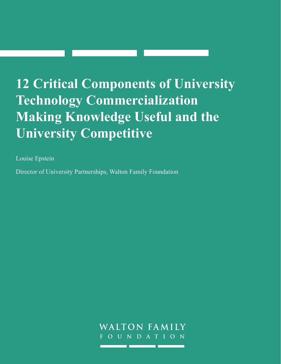# **12 Critical Components of University Technology Commercialization Making Knowledge Useful and the University Competitive**

Louise Epstein

Director of University Partnerships, Walton Family Foundation

WALTON FAMILY O U N D A T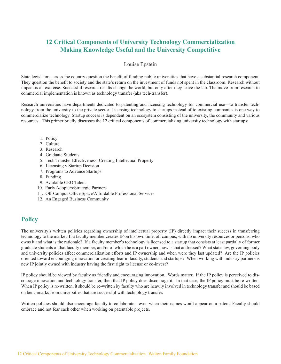## **12 Critical Components of University Technology Commercialization Making Knowledge Useful and the University Competitive**

#### Louise Epstein

State legislators across the country question the benefit of funding public universities that have a substantial research component. They question the benefit to society and the state's return on the investment of funds not spent in the classroom. Research without impact is an exercise. Successful research results change the world, but only after they leave the lab. The move from research to commercial implementation is known as technology transfer (aka tech-transfer).

Research universities have departments dedicated to patenting and licensing technology for commercial use—to transfer technology from the university to the private sector. Licensing technology to startups instead of to existing companies is one way to commercialize technology. Startup success is dependent on an ecosystem consisting of the university, the community and various resources. This primer briefly discusses the 12 critical components of commercializing university technology with startups:

- 1. Policy
- 2. Culture
- 3. Research
- 4. Graduate Students
- 5. Tech Transfer Effectiveness: Creating Intellectual Property
- 6. Licensing v Startup Decision
- 7. Programs to Advance Startups
- 8. Funding
- 9. Available CEO Talent
- 10. Early Adopters/Strategic Partners
- 11. Off-Campus Office Space/Affordable Professional Services
- 12. An Engaged Business Community

# **Policy**

The university's written policies regarding ownership of intellectual property (IP) directly impact their success in transferring technology to the market. If a faculty member creates IP on his own time, off campus, with no university resources or persons, who owns it and what is the rationale? If a faculty member's technology is licensed to a startup that consists at least partially of former graduate students of that faculty member, and/or of which he is a part owner, how is that addressed? What state law, governing body and university policies affect commercialization efforts and IP ownership and when were they last updated? Are the IP policies oriented toward encouraging innovation or creating fear in faculty, students and startups? When working with industry partners is new IP jointly owned with industry having the first right to license or co-invest?

IP policy should be viewed by faculty as friendly and encouraging innovation. Words matter. If the IP policy is perceived to discourage innovation and technology transfer, then that IP policy does discourage it. In that case, the IP policy must be re-written. When IP policy is re-written, it should be re-written by faculty who are heavily involved in technology transfer and should be based on benchmarks from universities that are successful with technology transfer.

Written policies should also encourage faculty to collaborate—even when their names won't appear on a patent. Faculty should embrace and not fear each other when working on patentable projects.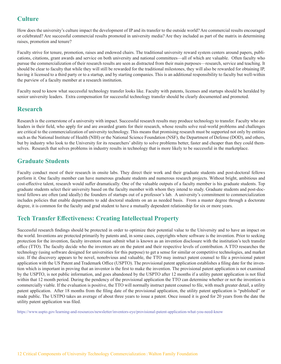# **Culture**

How does the university's culture impact the development of IP and its transfer to the outside world? Are commercial results encouraged or celebrated? Are successful commercial results promoted in university media? Are they included as part of the matrix in determining raises, promotion and tenure?

Faculty strive for tenure, promotion, raises and endowed chairs. The traditional university reward system centers around papers, publications, citations, grant awards and service on both university and national committees—all of which are valuable. Often faculty who pursue the commercialization of their research results are seen as distracted from their main purposes—research, service and teaching. It should be clear to faculty that while they will still be rewarded for the traditional milestones, they will also be rewarded for obtaining IP, having it licensed to a third party or to a startup, and by starting companies. This is an additional responsibility to faculty but well-within the purview of a faculty member at a research institution.

Faculty need to know what successful technology transfer looks like. Faculty with patents, licenses and startups should be heralded by senior university leaders. Extra compensation for successful technology transfer should be clearly documented and promoted.

## **Research**

Research is the cornerstone of a university with impact. Successful research results may produce technology to transfer. Faculty who are leaders in their field, who apply for and are awarded grants for their research, whose results solve real-world problems and challenges are critical to the commercialization of university technology. This means that promising research must be supported not only by entities such as the National Institute of Health (NIH) or the National Science Foundation (NSF), the Department of Defense (DOD), and others, but by industry who look to the University for its researchers' ability to solve problems better, faster and cheaper than they could themselves. Research that solves problems in industry results in technology that is more likely to be successful in the marketplace.

# **Graduate Students**

Faculty conduct most of their research in onsite labs. They direct their work and their graduate students and post-doctoral fellows perform it. One faculty member can have numerous graduate students and numerous research projects. Without bright, ambitious and cost-effective talent, research would suffer dramatically. One of the valuable outputs of a faculty member is his graduate students. Top graduate students select their university based on the faculty member with whom they intend to study. Graduate students and post-doctoral fellows are often (and ideally) the founders of startups out of a professor's lab. A university's commitment to commercialization includes policies that enable departments to add doctoral students on an as needed basis. From a master degree through a doctorate degree, it is common for the faculty and grad student to have a mutually dependent relationship for six or more years.

# **Tech Transfer Effectiveness: Creating Intellectual Property**

Successful research findings should be protected in order to optimize their potential value to the University and to have an impact on the world. Inventions are protected primarily by patents and, in some cases, copyrights where software is the invention. Prior to seeking protection for the invention, faculty inventors must submit what is known as an invention disclosure with the institution's tech transfer office (TTO). The faculty decide who the inventors are on the patent and their respective levels of contribution. A TTO researches the technology (using software designed for universities for this purpose) to get a sense for similar or competitive technologies, and market size. If the discovery appears to be novel, nonobvious and valuable, the TTO may instruct patent counsel to file a provisional patent application with the US Patent and Trademark Office (USPTO). The provisional patent application establishes a filing date for the invention which is important in proving that an inventor is the first to make the invention. The provisional patent application is not examined by the USPTO, is not public information, and goes abandoned by the USPTO after 12 months if a utility patent application is not filed within that 12 month period. During the pendency of the provisional application the TTO can determine whether or not the invention is commercially viable. If the evaluation is positive, the TTO will normally instruct patent counsel to file, with much greater detail, a utility patent application. After 18 months from the filing date of the provisional application, the utility patent application is "published" or made public. The USTPO takes an average of about three years to issue a patent. Once issued it is good for 20 years from the date the utility patent application was filed.

https://www.uspto.gov/learning-and-resources/newsletter/inventors-eye/provisional-patent-application-what-you-need-know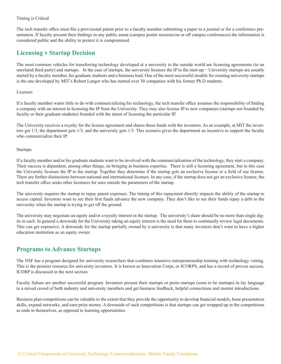#### Timing is Critical

The tech transfer office must file a provisional patent prior to a faculty member submitting a paper to a journal or for a conference presentation. If faculty present their findings in any public arena (campus poster sessions/on or off campus conferences) the information is considered public and the ability to protect it is compromised.

## **Licensing v Startup Decision**

The most common vehicles for transferring technology developed at a university to the outside world are licensing agreements (to an unrelated third party) and startups. In the case of startups, the university licenses the IP to the start-up. $\neg$  University startups are usually started by a faculty member, his graduate students and a business lead. One of the most successful models for creating university startups is the one developed by MIT's Robert Langer who has started over 30 companies with his former Ph.D students.

#### Licenses

If a faculty member wants little to do with commercializing his technology, the tech transfer office assumes the responsibility of finding a company with an interest in licensing the IP from the University. They may also license IP to new companies (startups not founded by faculty or their graduate students) founded with the intent of licensing the particular IP.

The University receives a royalty for the license agreement and shares those funds with the inventors. As an example, at MIT the inventors get 1/3, the department gets 1/3, and the university gets 1/3. This scenario gives the department an incentive to support the faculty who commercialize their IP.

#### Startups

If a faculty member and/or his graduate students want to be involved with the commercialization of the technology, they start a company. Their success is dependent, among other things, on bringing in business expertise. There is still a licensing agreement, but in this case the University licenses the IP to the startup. Together they determine if the startup gets an exclusive license or a field of use license. There are further distinctions between national and international licenses. In any case, if the startup does not get an exclusive license, the tech transfer office seeks other licensees for uses outside the parameters of the startup.

The university requires the startup to repay patent expenses. The timing of this repayment directly impacts the ability of the startup to access capital. Investors want to see their first funds advance the new company. They don't like to see their funds repay a debt to the university when the startup is trying to get off the ground.

The university may negotiate an equity and/or a royalty interest in the startup. The university's share should be no more than single digits in each. In general a downside for the University taking an equity interest is the need for them to continually review legal documents. This can get expensive. A downside for the startup partially owned by a university is that many investors don't want to have a higher education institution as an equity owner.

### **Programs to Advance Startups**

The NSF has a program designed for university researchers that combines intensive entrepreneurship training with technology vetting. This is the premier resource for university inventors. It is known as Innovation Corps, or ICORPS, and has a record of proven success. ICORP is discussed in the next section.

Faculty Salons are another successful program. Inventors present their startups or proto-startups (soon to be startups) in lay language to a mixed crowd of both industry and university members and get business feedback, helpful connections and mentor introductions.

Business plan competitions can be valuable to the extent that they provide the opportunity to develop financial models, hone presentation skills, expand networks, and earn prize money. A downside of such competitions is that startups can get wrapped up in the competitions as ends in themselves, as opposed to learning opportunities.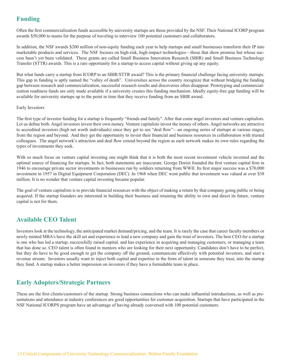# **Funding**

Often the first commercialization funds accessible by university startups are those provided by the NSF. Their National ICORP program awards \$50,000 to teams for the purpose of traveling to interview 100 potential customers and collaborators.

In addition, the NSF awards \$200 million of non-equity funding each year to help startups and small businesses transform their IP into marketable products and services. The NSF focuses on high-risk, high-impact technologies—those that show promise but whose success hasn't yet been validated. These grants are called Small Business Innovation Research (SBIR) and Small Business Technology Transfer (STTR) awards. This is a rare opportunity for a startup to access capital without giving up any equity.

But what funds carry a startup from ICORP to an SBIR/STTR award? This is the primary financial challenge facing university startups. This gap in funding is aptly named the "valley of death". Universities across the country recognize that without bridging the funding gap between research and commercialization, successful research results and discoveries often disappear. Prototyping and commercialization readiness funds are only made available if a university creates this funding mechanism. Ideally equity-free gap funding will be available for university startups up to the point in time that they receive funding from an SBIR award.

#### Early Investors

The first type of investor funding for a startup is frequently "friends and family". After that come angel investors and venture capitalists. Let us define both. Angel investors invest their own money. Venture capitalists invest the money of others. Angel networks are attractive to accredited investors (high net worth individuals) since they get to see "deal flow"—an ongoing series of startups at various stages, from the region and beyond. And they get the opportunity to invest their financial and business resources in collaboration with trusted colleagues. The angel network's attraction and deal flow extend beyond the region as each network makes its own rules regarding the types of investments they seek.

With so much focus on venture capital investing one might think that it is both the most recent investment vehicle invented and the optimal source of financing for startups. In fact, both statements are inaccurate. George Doriot founded the first venture capital firm in 1946 to encourage private sector investments in businesses run by soldiers returning from WWII. Its first major success was a \$70,000 investment in 1957 in Digital Equipment Corporation (DEC). In 1968 when DEC went public that investment was valued at over \$38 million. It is no wonder that venture capital investing became popular.

The goal of venture capitalists is to provide financial resources with the object of making a return by that company going public or being acquired. If the startup founders are interested in building their business and retaining the ability to own and direct its future, venture capital is not for them.

## **Available CEO Talent**

Investors look at the technology, the anticipated market demand/pricing, and the team. It is rarely the case that career faculty members or newly minted MBA's have the skill set and experience to lead a new company and gain the trust of investors. The best CEO for a startup is one who has led a startup, successfully raised capital, and has experience in acquiring and managing customers, or managing a team that has done so. CEO talent is often found in mentors who are looking for their next opportunity. Candidates don't have to be perfect, but they do have to be good enough to get the company off the ground, communicate effectively with potential investors, and start a revenue stream. Investors usually want to inject both capital and expertise in the form of talent in someone they trust, into the startup they fund. A startup makes a better impression on investors if they have a formidable team in place.

## **Early Adopters/Strategic Partners**

These are the first clients/customers of the startup. Strong business connections who can make influential introductions, as well as presentations and attendance at industry conferences are good opportunities for customer acquisition. Startups that have participated in the NSF National ICORPS program have an advantage of having already conversed with 100 potential customers.